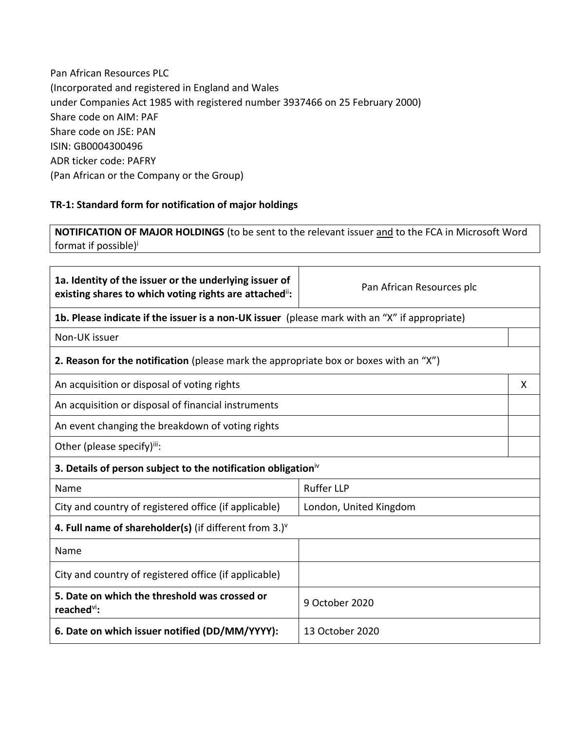Pan African Resources PLC (Incorporated and registered in England and Wales under Companies Act 1985 with registered number 3937466 on 25 February 2000) Share code on AIM: PAF Share code on JSE: PAN ISIN: GB0004300496 ADR ticker code: PAFRY (Pan African or the Company or the Group)

## **TR-1: Standard form for notification of major holdings**

**NOTIFICATION OF MAJOR HOLDINGS** (to be sent to the relevant issuer and to the FCA in Microsoft Word format if possible) i

| 1a. Identity of the issuer or the underlying issuer of<br>existing shares to which voting rights are attached": | Pan African Resources plc |   |
|-----------------------------------------------------------------------------------------------------------------|---------------------------|---|
| <b>1b. Please indicate if the issuer is a non-UK issuer</b> (please mark with an "X" if appropriate)            |                           |   |
| Non-UK issuer                                                                                                   |                           |   |
| <b>2. Reason for the notification</b> (please mark the appropriate box or boxes with an "X")                    |                           |   |
| An acquisition or disposal of voting rights                                                                     |                           | X |
| An acquisition or disposal of financial instruments                                                             |                           |   |
| An event changing the breakdown of voting rights                                                                |                           |   |
| Other (please specify)iii:                                                                                      |                           |   |
| 3. Details of person subject to the notification obligation <sup>iv</sup>                                       |                           |   |
| Name                                                                                                            | <b>Ruffer LLP</b>         |   |
| City and country of registered office (if applicable)<br>London, United Kingdom                                 |                           |   |
| 4. Full name of shareholder(s) (if different from $3.$ ) $v$                                                    |                           |   |
| Name                                                                                                            |                           |   |
| City and country of registered office (if applicable)                                                           |                           |   |
| 5. Date on which the threshold was crossed or<br>reached <sup>vi</sup> :                                        | 9 October 2020            |   |
| 6. Date on which issuer notified (DD/MM/YYYY):                                                                  | 13 October 2020           |   |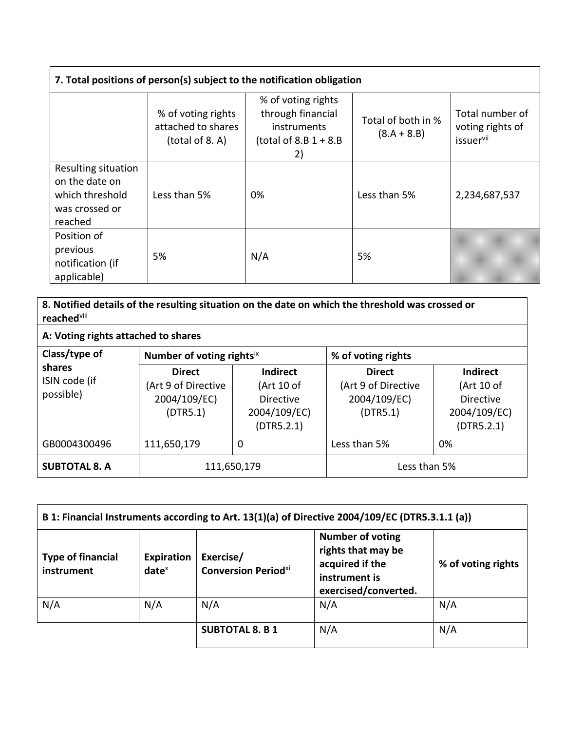| 7. Total positions of person(s) subject to the notification obligation                |                                                             |                                                                                         |                                     |                                                  |
|---------------------------------------------------------------------------------------|-------------------------------------------------------------|-----------------------------------------------------------------------------------------|-------------------------------------|--------------------------------------------------|
|                                                                                       | % of voting rights<br>attached to shares<br>(total of 8. A) | % of voting rights<br>through financial<br>instruments<br>(total of $8.B 1 + 8.B$<br>2) | Total of both in %<br>$(8.A + 8.B)$ | Total number of<br>voting rights of<br>issuervii |
| Resulting situation<br>on the date on<br>which threshold<br>was crossed or<br>reached | Less than 5%                                                | 0%                                                                                      | Less than 5%                        | 2,234,687,537                                    |
| Position of<br>previous<br>notification (if<br>applicable)                            | 5%                                                          | N/A                                                                                     | 5%                                  |                                                  |

**8. Notified details of the resulting situation on the date on which the threshold was crossed or reached** viii

**A: Voting rights attached to shares**

| Class/type of<br>Number of voting rightsix                                                               |                                                                                 |                                                                  | % of voting rights                                                              |    |
|----------------------------------------------------------------------------------------------------------|---------------------------------------------------------------------------------|------------------------------------------------------------------|---------------------------------------------------------------------------------|----|
| shares<br><b>Direct</b><br>ISIN code (if<br>(Art 9 of Directive<br>possible)<br>2004/109/EC)<br>(DTR5.1) | <b>Indirect</b><br>(Art 10 of<br><b>Directive</b><br>2004/109/EC)<br>(DTR5.2.1) | <b>Direct</b><br>(Art 9 of Directive<br>2004/109/EC)<br>(DTR5.1) | <b>Indirect</b><br>(Art 10 of<br><b>Directive</b><br>2004/109/EC)<br>(DTR5.2.1) |    |
| GB0004300496                                                                                             | 111,650,179                                                                     | 0                                                                | Less than 5%                                                                    | 0% |
| <b>SUBTOTAL 8. A</b>                                                                                     | 111,650,179                                                                     |                                                                  | Less than 5%                                                                    |    |

| B 1: Financial Instruments according to Art. 13(1)(a) of Directive 2004/109/EC (DTR5.3.1.1 (a)) |                        |                                         |                                                                                                           |                    |
|-------------------------------------------------------------------------------------------------|------------------------|-----------------------------------------|-----------------------------------------------------------------------------------------------------------|--------------------|
| <b>Type of financial</b><br>instrument                                                          | Expiration<br>$date^x$ | Exercise/<br><b>Conversion Periodxi</b> | <b>Number of voting</b><br>rights that may be<br>acquired if the<br>instrument is<br>exercised/converted. | % of voting rights |
| N/A                                                                                             | N/A                    | N/A                                     | N/A                                                                                                       | N/A                |
|                                                                                                 |                        | <b>SUBTOTAL 8. B 1</b>                  | N/A                                                                                                       | N/A                |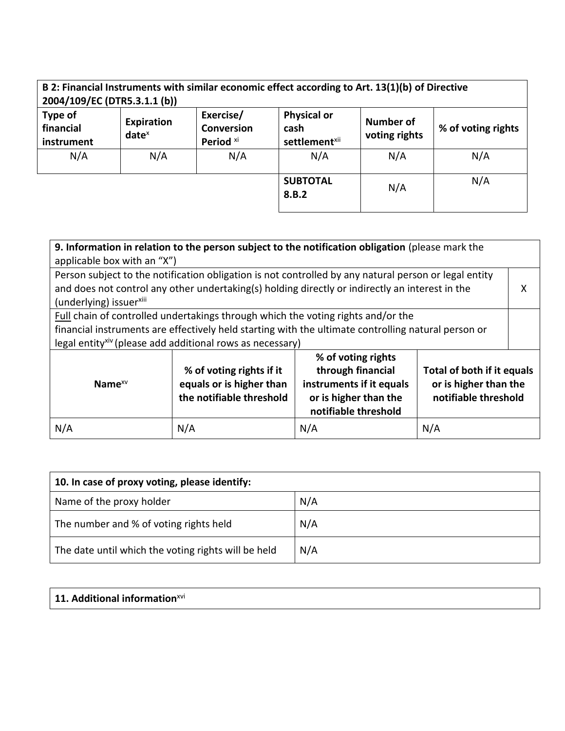| 2004/109/EC (DTR5.3.1.1 (b))              |                        |                                                        | B 2: Financial Instruments with similar economic effect according to Art. 13(1)(b) of Directive |                                   |                    |
|-------------------------------------------|------------------------|--------------------------------------------------------|-------------------------------------------------------------------------------------------------|-----------------------------------|--------------------|
| <b>Type of</b><br>financial<br>instrument | Expiration<br>$date^x$ | Exercise/<br><b>Conversion</b><br>Period <sup>xi</sup> | <b>Physical or</b><br>cash<br>settlement <sup>xii</sup>                                         | <b>Number of</b><br>voting rights | % of voting rights |
| N/A                                       | N/A                    | N/A                                                    | N/A                                                                                             | N/A                               | N/A                |
|                                           |                        |                                                        | <b>SUBTOTAL</b><br>8.B.2                                                                        | N/A                               | N/A                |

| 9. Information in relation to the person subject to the notification obligation (please mark the<br>applicable box with an "X")                                                                                                                                  |                                                                                  |                                                                                                                      |                                                                             |  |
|------------------------------------------------------------------------------------------------------------------------------------------------------------------------------------------------------------------------------------------------------------------|----------------------------------------------------------------------------------|----------------------------------------------------------------------------------------------------------------------|-----------------------------------------------------------------------------|--|
| Person subject to the notification obligation is not controlled by any natural person or legal entity<br>and does not control any other undertaking(s) holding directly or indirectly an interest in the<br>(underlying) issuer <sup>xiii</sup>                  |                                                                                  |                                                                                                                      | x                                                                           |  |
| Full chain of controlled undertakings through which the voting rights and/or the<br>financial instruments are effectively held starting with the ultimate controlling natural person or<br>legal entity <sup>xiv</sup> (please add additional rows as necessary) |                                                                                  |                                                                                                                      |                                                                             |  |
| Name $XV$                                                                                                                                                                                                                                                        | % of voting rights if it<br>equals or is higher than<br>the notifiable threshold | % of voting rights<br>through financial<br>instruments if it equals<br>or is higher than the<br>notifiable threshold | Total of both if it equals<br>or is higher than the<br>notifiable threshold |  |
| N/A                                                                                                                                                                                                                                                              | N/A                                                                              | N/A                                                                                                                  | N/A                                                                         |  |

| 10. In case of proxy voting, please identify:       |     |
|-----------------------------------------------------|-----|
| Name of the proxy holder                            | N/A |
| The number and % of voting rights held              | N/A |
| The date until which the voting rights will be held | N/A |

| $\vert$ 11. Additional information <sup>xvi</sup> |
|---------------------------------------------------|
|---------------------------------------------------|